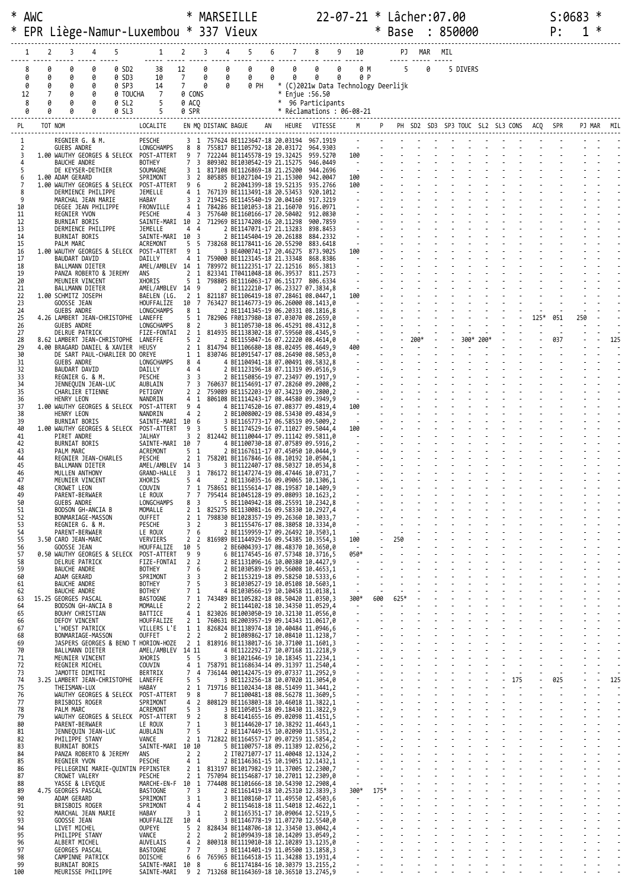|          | * AWC  |         |                                             |                                                                    |                |                                                         |                                  |                                  | MARSEILLE                                                                                                            |   |   |                                                |                   |                         |        | 22-07-21 * Lâcher:07.00                    |        |   |     |           |        |        |        | S:0683 |     |            |     |
|----------|--------|---------|---------------------------------------------|--------------------------------------------------------------------|----------------|---------------------------------------------------------|----------------------------------|----------------------------------|----------------------------------------------------------------------------------------------------------------------|---|---|------------------------------------------------|-------------------|-------------------------|--------|--------------------------------------------|--------|---|-----|-----------|--------|--------|--------|--------|-----|------------|-----|
|          |        |         |                                             |                                                                    |                | EPR Liège-Namur-Luxembou * 337 Vieux                    |                                  |                                  |                                                                                                                      |   |   |                                                |                   |                         | $\ast$ | Base : 850000                              |        |   |     |           |        |        |        | P:     |     |            |     |
|          |        |         |                                             |                                                                    |                |                                                         |                                  |                                  |                                                                                                                      |   |   |                                                |                   |                         |        |                                            |        |   |     |           |        |        |        |        |     |            |     |
|          | 1      | 2       | 3                                           |                                                                    | 5              | 1                                                       | 2                                | 3                                | 5                                                                                                                    | 6 | 7 | 8                                              | 9 10              |                         |        |                                            | PJ MAR |   | MIL |           |        |        |        |        |     |            |     |
|          |        | 0       | 0                                           | 0                                                                  | 0 SD2          | 38                                                      | 12                               | 0                                | 0                                                                                                                    | 0 | 0 | 0                                              | 0                 | 0 M                     |        | 5                                          |        | 0 |     | 5 DIVERS  |        |        |        |        |     |            |     |
|          | 0<br>0 | 0<br>0  | 0<br>0                                      | 0<br>0                                                             | 0 SD3<br>0 SP3 | 10<br>14                                                | $7\overline{ }$<br>$7^{\circ}$   | 0<br>0                           | 0<br>0<br>0<br>0 PH                                                                                                  | 0 | 0 | 0<br>* (C)2021w Data Technology Deerlijk       | 0                 | 0 P                     |        |                                            |        |   |     |           |        |        |        |        |     |            |     |
|          | 12     |         | 0                                           | 0                                                                  | 0 TOUCHA       | 7                                                       | 0 CONS                           |                                  |                                                                                                                      |   |   | * Enjue :56.50                                 |                   |                         |        |                                            |        |   |     |           |        |        |        |        |     |            |     |
|          | 8<br>0 | 0<br>0  | 0<br>0                                      | 0<br>0                                                             | 0 SL2<br>0 SL3 | 5                                                       | 0 ACQ<br>0 SPR                   |                                  |                                                                                                                      |   |   | * 96 Participants<br>* Réclamations : 06-08-21 |                   |                         |        |                                            |        |   |     |           |        |        |        |        |     |            |     |
| PL       |        | TOT NOM |                                             |                                                                    |                | LOCALITE                                                |                                  | EN MQ DISTANC BAGUE              |                                                                                                                      |   |   | AN HEURE VITESSE                               |                   | M                       |        | P PH SD2 SD3 SP3 TOUC SL2 SL3 CONS ACQ SPR |        |   |     |           |        |        |        |        |     | PJ MAR MIL |     |
|          |        |         |                                             |                                                                    |                | PESCHE                                                  |                                  |                                  |                                                                                                                      |   |   |                                                |                   |                         |        |                                            |        |   |     |           |        |        |        |        |     |            |     |
| 2        |        |         | REGNIER G. & M.<br>GUEBS ANDRE              |                                                                    |                | LONGCHAMPS                                              | 88                               |                                  | 3 1 757624 BE1123647-18 20.03194<br>755817 BE1105792-18 20.03172                                                     |   |   | 967.1919<br>964.9303                           |                   |                         |        |                                            |        |   |     |           |        |        |        |        |     |            |     |
| 3        |        |         | <b>BAUCHE ANDRE</b>                         |                                                                    |                | 1.00 WAUTHY GEORGES & SELECK POST-ATTERT 9<br>BOTHEY    | 7 <sub>3</sub>                   | $\overline{7}$                   | 722244 BE1145578-19 19.32425<br>809302 BE1030542-19 21.15275                                                         |   |   | 959.5270<br>946.0449                           | 100<br>$\sim 100$ |                         |        |                                            |        |   |     |           |        |        |        |        |     |            |     |
| 5<br>6   |        |         |                                             | DE KEYSER-DETHIER                                                  |                | SOUMAGNE                                                | 3 1<br>3 <sup>2</sup>            |                                  | 817108 BE1126869-18 21.25200                                                                                         |   |   | 944.2696<br>942.0047                           |                   | $\sim 100$<br>100       |        |                                            |        |   |     |           |        |        |        |        |     |            |     |
| 7        |        |         | 1.00 ADAM GERARD                            | 1.00 WAUTHY GEORGES & SELECK                                       |                | SPRIMONT<br>POST-ATTERT                                 | 9 6                              |                                  | 805885 BE1027104-19 21.15300<br>2 BE2041399-18 19.52135                                                              |   |   | 935.2766                                       |                   | 100                     |        |                                            |        |   |     |           |        |        |        |        |     |            |     |
| 8<br>9   |        |         |                                             | DERMIENCE PHILIPPE<br>MARCHAL JEAN MARIE                           |                | JEMELLE<br>HABAY                                        | 3 <sub>2</sub>                   |                                  | 4 1 767139 BE1113491-18 20.53453<br>719425 BE1145540-19 20.04160                                                     |   |   | 920.1012<br>917.3219                           |                   | $\sim 100$              |        |                                            |        |   |     |           |        |        |        |        |     |            |     |
| 10<br>11 |        |         | REGNIER YVON                                | DEGEE JEAN PHILIPPE                                                |                | FRONVILLE<br>PESCHE                                     |                                  |                                  | 4 1 784286 BE1101053-18 21.16070<br>4 3 757640 BE1160166-17 20.50402                                                 |   |   | 916.0971<br>912.0830                           |                   |                         |        |                                            |        |   |     |           |        |        |        |        |     |            |     |
| 12       |        |         | <b>BURNIAT BORIS</b>                        |                                                                    |                | SAINTE-MARI 10                                          |                                  | $\overline{2}$                   | 712969 BE1174208-16 20.11298                                                                                         |   |   | 900.7859                                       |                   |                         |        |                                            |        |   |     |           |        |        |        |        |     |            |     |
| 13<br>14 |        |         | <b>BURNIAT BORIS</b>                        | DERMIENCE PHILIPPE                                                 |                | JEMELLE<br>SAINTE-MARI 10 3                             | 4 4                              |                                  | 2 BE1147071-17 21.13283<br>2 BE1145404-19 20.26188                                                                   |   |   | 898.8453<br>884.2332                           |                   |                         |        |                                            |        |   |     |           |        |        |        |        |     |            |     |
| 15<br>16 |        |         | PALM MARC                                   | 1.00 WAUTHY GEORGES & SELECK                                       |                | ACREMONT<br>POST-ATTERT                                 | 5 5<br>9 1                       |                                  | 738268 BE1178411-16 20.55290<br>3 BE4000741-17 20.46275                                                              |   |   | 883.6418<br>873.9025                           | 100               |                         |        |                                            |        |   |     |           |        |        |        |        |     |            |     |
| 17       |        |         | BAUDART DAVID                               |                                                                    |                | DAILLY                                                  | 4 1                              |                                  | 759000 BE1123145-18 21.33348 868.8386                                                                                |   |   |                                                |                   | $\sim$                  |        |                                            |        |   |     |           |        |        |        |        |     |            |     |
| 18<br>19 |        |         | BALLMANN DIETER                             | PANZA ROBERTO & JEREMY                                             |                | AMEL/AMBLEV 14 1<br>ans                                 | 2 <sub>1</sub>                   |                                  | 789972 BE1122351-17 22.12516<br>823341 IT0411048-18 06.39537                                                         |   |   | 865.3813<br>811.2573                           |                   |                         |        |                                            |        |   |     |           |        |        |        |        |     |            |     |
| 20<br>21 |        |         | MEUNIER VINCENT<br>BALLMANN DIETER          |                                                                    |                | XHORIS<br>AMEL/AMBLEV 14 9                              | 5 <sub>1</sub>                   |                                  | 798805 BE1116063-17 06.15177 806.6334<br>2 BE1122210-17 06.23327 07.3834,8                                           |   |   |                                                |                   |                         |        |                                            |        |   |     |           |        |        |        |        |     |            |     |
| 22       |        |         | 1.00 SCHMITZ JOSEPH                         |                                                                    |                | BAELEN (LG.                                             |                                  |                                  | 2 1 821187 BE1106419-18 07.28461 08.0447,1                                                                           |   |   |                                                | 100               |                         |        |                                            |        |   |     |           |        |        |        |        |     |            |     |
| 23<br>24 |        |         | GOOSSE JEAN<br>GUEBS ANDRE                  |                                                                    |                | HOUFFALIZE<br>LONGCHAMPS                                | 10 7<br>8                        | 1                                | 763427 BE1146773-19 06.26000 08.1413,0<br>2 BE1141345-19 06.20331 08.1816,8                                          |   |   |                                                |                   |                         |        |                                            |        |   |     |           |        |        |        |        |     |            |     |
| 25<br>26 |        |         | GUEBS ANDRE                                 | 4.26 LAMBERT JEAN-CHRISTOPHE                                       |                | LANEFFE<br>LONGCHAMPS                                   | 5 1<br>8 <sup>2</sup>            |                                  | 782906 FR0137980-18 07.03070 08.2659,0<br>3 BE1105730-18 06.45291 08.4312,8                                          |   |   |                                                |                   |                         |        |                                            |        |   |     |           |        |        | $125*$ | 051    | 250 |            |     |
| 27       |        |         | DELRUE PATRICK                              |                                                                    |                | FIZE-FONTAI 2 1                                         |                                  |                                  | 814935 BE1138302-18 07.59560 08.4345,9                                                                               |   |   |                                                |                   |                         |        |                                            | 200*   |   |     |           |        |        |        |        |     |            |     |
| 28<br>29 |        |         |                                             | 8.62 LAMBERT JEAN-CHRISTOPHE<br>4.00 BRAGARD DANIEL & XAVIER HEUSY |                | LANEFFE                                                 | 5 <sub>2</sub>                   |                                  | 2 BE1155047-16 07.22220 08.4614,0<br>2 1 814794 BE1106680-18 08.02495 08.4649,9                                      |   |   |                                                | 400               |                         |        |                                            |        |   |     | 300* 200* |        |        |        | 037    |     |            |     |
| 30<br>31 |        |         | GUEBS ANDRE                                 | DE SART PAUL-CHARLIER DO OREYE                                     |                | LONGCHAMPS 8 4                                          | $1\quad1$                        |                                  | 830746 BE1091547-17 08.26490 08.5053,0<br>4 BE1104941-18 07.00491 08.5832,8                                          |   |   |                                                |                   | $\sim$ $\sim$           |        |                                            |        |   |     |           |        |        |        |        |     |            |     |
| 32       |        |         | BAUDART DAVID                               |                                                                    |                | DAILLY                                                  | 4 4                              |                                  | 2 BE1123196-18 07.11319 09.0516,9                                                                                    |   |   |                                                |                   |                         |        |                                            |        |   |     |           |        |        |        |        |     |            |     |
| 33<br>34 |        |         | REGNIER G. & M.                             | JENNEQUIN JEAN-LUC                                                 |                | PESCHE<br>AUBLAIN                                       | 3 <sup>3</sup>                   |                                  | 2 BE1150856-19 07.23497 09.1917,9<br>7 3 760637 BE1154691-17 07.28260 09.2008,2                                      |   |   |                                                |                   |                         |        |                                            |        |   |     |           |        |        |        |        |     |            |     |
| 35<br>36 |        |         | HENRY LEON                                  | CHARLIER ETIENNE                                                   |                | PETIGNY<br>NANDRIN                                      | 2 <sub>2</sub><br>$4 \quad 1$    |                                  | 759089 BE1152203-19 07.34219 09.2800,2<br>806108 BE1114243-17 08.44580 09.3949,9                                     |   |   |                                                |                   | $\sim$                  |        |                                            |        |   |     |           |        |        |        |        |     |            |     |
| 37<br>38 |        |         | HENRY LEON                                  | 1.00 WAUTHY GEORGES & SELECK                                       |                | POST-ATTERT<br>NANDRIN                                  | 94<br>4 <sup>2</sup>             |                                  | 4 BE1174520-16 07.08377 09.4819,4<br>2 BE1008002-19 08.53430 09.4834,9                                               |   |   |                                                | 100               | $\sim 100$              |        |                                            |        |   |     |           |        |        |        |        |     |            |     |
| 39       |        |         | <b>BURNIAT BORIS</b>                        |                                                                    |                | SAINTE-MARI 10 6                                        |                                  |                                  | 3 BE1165773-17 06.58519 09.5009,2                                                                                    |   |   |                                                |                   |                         |        |                                            |        |   |     |           |        |        |        |        |     |            |     |
| 40<br>41 |        |         | PIRET ANDRE                                 |                                                                    |                | 1.00 WAUTHY GEORGES & SELECK POST-ATTERT<br>JALHAY      | 9 3                              |                                  | 5 BE1174529-16 07.11027 09.5044,4<br>3 2 812442 BE1110044-17 09.11142 09.5811,0                                      |   |   |                                                | 100               |                         |        |                                            |        |   |     |           |        |        |        |        |     |            |     |
| 42<br>43 |        |         | <b>BURNIAT BORIS</b><br>PALM MARC           |                                                                    |                | SAINTE-MARI 10 7<br>ACREMONT                            | 5 <sub>1</sub>                   |                                  | 4 BE1100730-18 07.07589 09.5916,2<br>2 BE1167611-17 07.45050 10.0444,9                                               |   |   |                                                |                   |                         |        |                                            |        |   |     |           |        |        |        |        |     |            |     |
| 44       |        |         |                                             | REGNIER JEAN-CHARLES                                               |                | PESCHE                                                  |                                  |                                  | 2 1 758201 BE1167846-16 08.10192 10.0504,1                                                                           |   |   |                                                |                   |                         |        |                                            |        |   |     |           |        |        |        |        |     |            |     |
| 45<br>46 |        |         | BALLMANN DIETER<br>MULLEN ANTHONY           |                                                                    |                | AMEL/AMBLEV 14 3<br>GRAND-HALLE                         | $3\quad1$                        |                                  | 3 BE1122407-17 08.50327 10.0534,8<br>786172 BE1147274-19 08.47446 10.0731,7                                          |   |   |                                                |                   |                         |        |                                            |        |   |     |           |        |        |        |        |     |            |     |
| 47<br>48 |        |         | MEUNIER VINCENT<br>CROWET LEON              |                                                                    |                | XHORIS<br>COUVIN                                        | 54<br>71                         |                                  | 2 BE1136035-16 09.09065 10.1306,1<br>758651 BE1155614-17 08.19587 10.1409,9                                          |   |   |                                                |                   |                         |        |                                            |        |   |     |           |        |        |        |        |     |            |     |
| 49<br>50 |        |         | PARENT-BERWAER<br>GUEBS ANDRE               |                                                                    |                | LE ROUX<br>LONGCHAMPS                                   | 7 7<br>8 3                       |                                  | 795414 BE1045128-19 09.08093 10.1623,2<br>5 BE1104942-18 08.25591 10.2342,8                                          |   |   |                                                |                   |                         |        |                                            |        |   |     |           |        |        |        |        |     |            |     |
| 51       |        |         |                                             | BODSON GH-ANCIA B                                                  |                | MOMALLE                                                 | 2 <sub>1</sub>                   |                                  | 825275 BE1130081-16 09.58330 10.2927,4                                                                               |   |   |                                                |                   |                         |        |                                            |        |   |     |           |        |        |        |        |     |            |     |
| 52<br>53 |        |         | REGNIER G. & M.                             | BONMARIAGE-MASSON                                                  |                | <b>OUFFET</b><br>PESCHE                                 | 2 <sub>1</sub><br>3              | $\overline{2}$                   | 798830 BE1028357-19 09.26360 10.3033,7<br>3 BE1155476-17 08.38058 10.3334,0                                          |   |   |                                                |                   |                         |        |                                            |        |   |     |           |        |        |        |        |     |            |     |
| 54<br>55 |        |         | PARENT-BERWAER<br>3.50 CARO JEAN-MARC       |                                                                    |                | LE ROUX<br>VERVIERS                                     | $\overline{7}$<br>$\overline{2}$ | 6<br>$\overline{2}$              | 2 BE1159959-17 09.26492 10.3503,1<br>816989 BE1144929-16 09.54385 10.3554.3                                          |   |   |                                                | 100               |                         |        | 250                                        |        |   |     |           |        |        |        |        |     |            |     |
| 56       |        |         | GOOSSE JEAN                                 |                                                                    |                | HOUFFALIZE                                              | 10 5                             |                                  | 2 BE6004393-17 08.48370 10.3650,0                                                                                    |   |   |                                                |                   | $\sim 100$ km s $^{-1}$ |        | $\sim$                                     |        |   |     |           |        |        |        |        |     |            |     |
| 57<br>58 |        |         | DELRUE PATRICK                              |                                                                    |                | 0.50 WAUTHY GEORGES & SELECK POST-ATTERT<br>FIZE-FONTAI | - 9<br>2 <sub>2</sub>            | - 9                              | 6 BE1174545-16 07.57348 10.3716,5<br>2 BE1131096-16 10.00380 10.4427.9                                               |   |   |                                                |                   | 050*<br>$\sim 100$      |        |                                            |        |   |     |           |        |        |        |        |     |            |     |
| 59<br>60 |        |         | <b>BAUCHE ANDRE</b><br>ADAM GERARD          |                                                                    |                | BOTHEY<br>SPRIMONT                                      | 7 6<br>3                         | $\overline{\mathbf{3}}$          | 2 BE1030589-19 09.56008 10.4653,1<br>2 BE1153219-18 09.58250 10.5333,6                                               |   |   |                                                |                   |                         |        |                                            |        |   |     |           |        |        |        |        |     |            |     |
| 61       |        |         | <b>BAUCHE ANDRE</b>                         |                                                                    |                | <b>BOTHEY</b>                                           | 7 <sub>5</sub>                   |                                  | 3 BE1030527-19 10.05108 10.5603,1                                                                                    |   |   |                                                |                   | $\sim$                  |        |                                            |        |   |     |           |        |        |        |        |     |            |     |
| 62<br>63 |        |         | <b>BAUCHE ANDRE</b><br>15.25 GEORGES PASCAL |                                                                    |                | BOTHEY<br>BASTOGNE                                      | 7 <sub>1</sub><br>7 <sub>1</sub> |                                  | 4 BE1030566-19 10.10458 11.0138,1<br>743489 BE1105282-18 08.50420 11.0350,3                                          |   |   |                                                |                   | $300*$                  | 600    | 625*                                       |        |   |     |           |        |        |        |        |     |            |     |
| 64<br>65 |        |         | BOUHY CHRISTIAN                             | BODSON GH-ANCIA B                                                  |                | MOMALLE<br>BATTICE                                      | 2 <sub>2</sub><br>4 1            |                                  | 2 BE1144102-18 10.34350 11.0529,4<br>823026 BE1003050-19 10.32130 11.0556,0                                          |   |   |                                                |                   |                         |        |                                            |        |   |     |           |        |        |        |        |     |            |     |
| 66       |        |         | DEFOY VINCENT                               |                                                                    |                | HOUFFALIZE<br>VILLERS L'E                               | 2 <sub>1</sub>                   |                                  | 760631 BE2003957-19 09.14343 11.0617,0                                                                               |   |   |                                                |                   |                         |        |                                            |        |   |     |           |        |        |        |        |     |            |     |
| 67<br>68 |        |         | L'HOEST PATRICK                             | BONMARIAGE-MASSON                                                  |                | OUFFET                                                  | $1\quad1$<br>2 <sub>2</sub>      |                                  | 826824 BE1138974-18 10.40484 11.0946,6<br>2 BE1089862-17 10.08410 11.1238,7                                          |   |   |                                                |                   |                         |        |                                            |        |   |     |           |        |        |        |        |     |            |     |
| 69<br>70 |        |         | BALLMANN DIETER                             |                                                                    |                | AMEL/AMBLEV 14 11                                       |                                  |                                  | JASPERS GEORGES & BENO T HORION-HOZE 2 1 818916 BE1138017-16 10.37100 11.1601,3<br>4 BE1122292-17 10.07168 11.2218,9 |   |   |                                                |                   |                         |        |                                            |        |   |     |           |        |        |        |        |     |            |     |
| 71<br>72 |        |         | MEUNIER VINCENT                             |                                                                    |                | XHORIS<br>COUVIN                                        | 5 <sub>5</sub>                   |                                  | 3 BE1021646-19 10.18345 11.2234,1<br>4 1 758791 BE1168634-14 09.31397 11.2540,4                                      |   |   |                                                |                   |                         |        |                                            |        |   |     |           |        |        |        |        |     |            |     |
| 73       |        |         | REGNIER MICHEL<br>JAMOTTE DIMITRI           |                                                                    |                | BERTRIX                                                 | 74                               |                                  | 736144 001142475-19 09.07337 11.2952,9                                                                               |   |   |                                                |                   |                         |        |                                            |        |   |     |           |        |        |        |        |     |            |     |
| 74<br>75 |        |         | THE ISMAN-LUX                               | 3.25 LAMBERT JEAN-CHRISTOPHE                                       |                | LANEFFE<br>HABAY                                        | 5 5<br>2 <sub>1</sub>            |                                  | 3 BE1123256-18 10.07020 11.3054,0<br>719716 BE1102434-18 08.51499 11.3441,2                                          |   |   |                                                |                   |                         |        |                                            |        |   |     |           | $-175$ | $\sim$ |        | 025    |     |            | 125 |
| 76<br>77 |        |         | BRISBOIS ROGER                              |                                                                    |                | WAUTHY GEORGES & SELECK POST-ATTERT<br>SPRIMONT         | 9<br>4                           | 8<br>$\overline{2}$              | 7 BE1100481-18 08.56278 11.3609,5<br>808129 BE1163803-18 10.46018 11.3822,1                                          |   |   |                                                |                   |                         |        |                                            |        |   |     |           |        |        |        |        |     |            |     |
| 78       |        |         | PALM MARC                                   |                                                                    |                | ACREMONT                                                | 5 <sup>3</sup>                   |                                  | 3 BE1105015-18 09.18430 11.3822,9                                                                                    |   |   |                                                |                   |                         |        |                                            |        |   |     |           |        |        |        |        |     |            |     |
| 79<br>80 |        |         | PARENT-BERWAER                              |                                                                    |                | WAUTHY GEORGES & SELECK POST-ATTERT 9 2<br>LE ROUX      | 7 <sub>1</sub>                   |                                  | 8 BE4141655-16 09.02098 11.4151,5<br>3 BE1144620-17 10.38292 11.4643,1                                               |   |   |                                                |                   |                         |        |                                            |        |   |     |           |        |        |        |        |     |            |     |
| 81<br>82 |        |         | PHILIPPE STANY                              | JENNEQUIN JEAN-LUC                                                 |                | AUBLAIN<br>VANCE                                        | 7 <sub>5</sub>                   |                                  | 2 BE1147449-15 10.02090 11.5351,2<br>2 1 712822 BE1164557-17 09.07259 11.5854,2                                      |   |   |                                                |                   |                         |        |                                            |        |   |     |           |        |        |        |        |     |            |     |
| 83       |        |         | <b>BURNIAT BORIS</b>                        |                                                                    |                | SAINTE-MARI 10 10                                       |                                  |                                  | 5 BE1100757-18 09.11389 12.0256,2                                                                                    |   |   |                                                |                   |                         |        |                                            |        |   |     |           |        |        |        |        |     |            |     |
| 84<br>85 |        |         | REGNIER YVON                                | PANZA ROBERTO & JEREMY                                             |                | ANS<br>PESCHE                                           | 2 <sub>2</sub><br>4 <sub>1</sub> |                                  | 2 IT0271077-17 11.40048 12.1324,2<br>2 BE1146361-15 10.19051 12.1432,1                                               |   |   |                                                |                   |                         |        |                                            |        |   |     |           |        |        |        |        |     |            |     |
| 86<br>87 |        |         | CROWET VALERY                               |                                                                    |                | PELLEGRINI MARIE-QUINTIN PEPINSTER<br>PESCHE            |                                  |                                  | 2 1 813197 BE1017982-19 11.37005 12.2300,7<br>2 1 757094 BE1154687-17 10.27011 12.2309,0                             |   |   |                                                |                   |                         |        |                                            |        |   |     |           |        |        |        |        |     |            |     |
| 88<br>89 |        |         | YASSE & LEVEQUE<br>4.75 GEORGES PASCAL      |                                                                    |                | MARCHE-EN-F 10 1<br>BASTOGNE                            | 7 <sup>3</sup>                   |                                  | 774408 BE1101666-18 10.54390 12.2908,4<br>2 BE1161419-18 10.25310 12.3839,3                                          |   |   |                                                |                   | 300*                    | 175*   |                                            |        |   |     |           |        |        |        |        |     |            |     |
| 90       |        |         | ADAM GERARD                                 |                                                                    |                | SPRIMONT                                                | 3 <sub>1</sub>                   |                                  | 3 BE1108160-17 11.49550 12.4503,6                                                                                    |   |   |                                                |                   | $\sim$                  | $\sim$ |                                            |        |   |     |           |        |        |        |        |     |            |     |
| 91<br>92 |        |         | BRISBOIS ROGER                              | MARCHAL JEAN MARIE                                                 |                | SPRIMONT<br>HABAY                                       | 44<br>3 <sub>1</sub>             |                                  | 2 BE1154618-18 11.54018 12.4622,1<br>2 BE1165351-17 10.09064 12.5219,5                                               |   |   |                                                |                   |                         |        |                                            |        |   |     |           |        |        |        |        |     |            |     |
| 93<br>94 |        |         | GOOSSE JEAN<br>LIVET MICHEL                 |                                                                    |                | HOUFFALIZE<br>OUPEYE                                    | 10<br>5                          | $\overline{4}$<br>$\overline{2}$ | 3 BE1146778-19 11.07270 12.5540,0<br>828434 BE1148706-18 12.33450 13.0042,4                                          |   |   |                                                |                   |                         |        |                                            |        |   |     |           |        |        |        |        |     |            |     |
| 95       |        |         | PHILIPPE STANY                              |                                                                    |                | VANCE                                                   | 2 <sub>2</sub>                   |                                  | 2 BE1099439-18 10.14209 13.0549,2                                                                                    |   |   |                                                |                   |                         |        |                                            |        |   |     |           |        |        |        |        |     |            |     |
| 96<br>97 |        |         | ALBERT MICHEL<br>GEORGES PASCAL             |                                                                    |                | AUVELAIS<br><b>BASTOGNE</b>                             | 4<br>7 <sub>7</sub>              | $\overline{2}$                   | 800318 BE1119010-18 12.10289 13.1235,0<br>3 BE1141401-19 11.05500 13.1858,3                                          |   |   |                                                |                   |                         |        |                                            |        |   |     |           |        |        |        |        |     |            |     |
| 98<br>99 |        |         | BURNIAT BORIS                               | CAMPINNE PATRICK                                                   |                | DOISCHE<br>SAINTE-MARI 10 8                             | 6 6                              |                                  | 765965 BE1164518-15 11.34288 13.1931,4<br>6 BE1174184-16 10.30379 13.2155,2                                          |   |   |                                                |                   |                         |        |                                            |        |   |     |           |        |        |        |        |     |            |     |
| 100      |        |         |                                             | MEURISSE PHILIPPE                                                  |                |                                                         |                                  |                                  | SAINTE-MARI 9 2 713268 BE1164369-18 10.36510 13.2745,9                                                               |   |   |                                                |                   |                         |        |                                            |        |   |     |           |        |        |        |        |     |            |     |